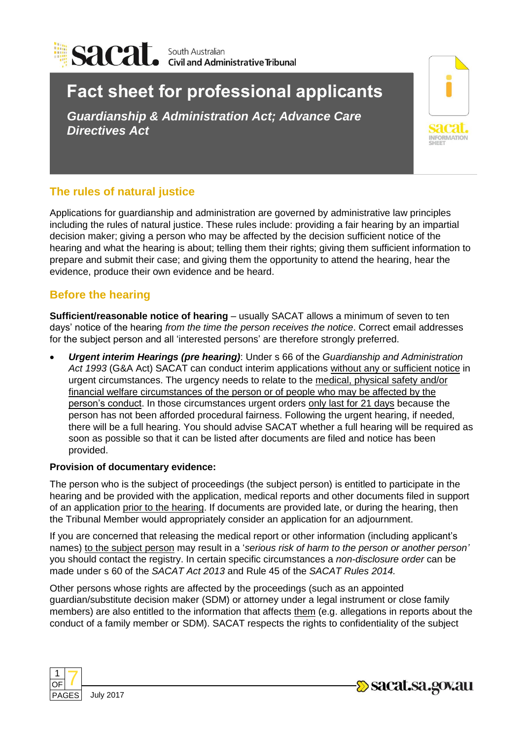

# **Fact sheet for professional applicants**

*Guardianship & Administration Act; Advance Care Directives Act*



# **The rules of natural justice**

Applications for guardianship and administration are governed by administrative law principles including the rules of natural justice. These rules include: providing a fair hearing by an impartial decision maker; giving a person who may be affected by the decision sufficient notice of the hearing and what the hearing is about; telling them their rights; giving them sufficient information to prepare and submit their case; and giving them the opportunity to attend the hearing, hear the evidence, produce their own evidence and be heard.

# **Before the hearing**

**Sufficient/reasonable notice of hearing** – usually SACAT allows a minimum of seven to ten days' notice of the hearing *from the time the person receives the notice*. Correct email addresses for the subject person and all 'interested persons' are therefore strongly preferred.

 *Urgent interim Hearings (pre hearing)*: Under s 66 of the *Guardianship and Administration Act 1993* (G&A Act) SACAT can conduct interim applications without any or sufficient notice in urgent circumstances. The urgency needs to relate to the medical, physical safety and/or financial welfare circumstances of the person or of people who may be affected by the person's conduct. In those circumstances urgent orders only last for 21 days because the person has not been afforded procedural fairness. Following the urgent hearing, if needed, there will be a full hearing. You should advise SACAT whether a full hearing will be required as soon as possible so that it can be listed after documents are filed and notice has been provided.

## **Provision of documentary evidence:**

The person who is the subject of proceedings (the subject person) is entitled to participate in the hearing and be provided with the application, medical reports and other documents filed in support of an application prior to the hearing. If documents are provided late, or during the hearing, then the Tribunal Member would appropriately consider an application for an adjournment.

If you are concerned that releasing the medical report or other information (including applicant's names) to the subject person may result in a '*serious risk of harm to the person or another person'* you should contact the registry. In certain specific circumstances a *non-disclosure order* can be made under s 60 of the *SACAT Act 2013* and Rule 45 of the *SACAT Rules 2014.*

Other persons whose rights are affected by the proceedings (such as an appointed guardian/substitute decision maker (SDM) or attorney under a legal instrument or close family members) are also entitled to the information that affects them (e.g. allegations in reports about the conduct of a family member or SDM). SACAT respects the rights to confidentiality of the subject





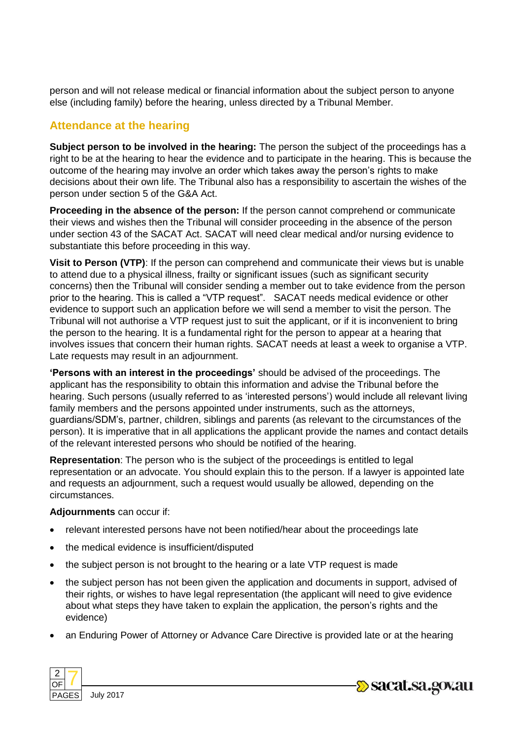person and will not release medical or financial information about the subject person to anyone else (including family) before the hearing, unless directed by a Tribunal Member.

## **Attendance at the hearing**

**Subject person to be involved in the hearing:** The person the subject of the proceedings has a right to be at the hearing to hear the evidence and to participate in the hearing. This is because the outcome of the hearing may involve an order which takes away the person's rights to make decisions about their own life. The Tribunal also has a responsibility to ascertain the wishes of the person under section 5 of the G&A Act.

**Proceeding in the absence of the person:** If the person cannot comprehend or communicate their views and wishes then the Tribunal will consider proceeding in the absence of the person under section 43 of the SACAT Act. SACAT will need clear medical and/or nursing evidence to substantiate this before proceeding in this way.

**Visit to Person (VTP)**: If the person can comprehend and communicate their views but is unable to attend due to a physical illness, frailty or significant issues (such as significant security concerns) then the Tribunal will consider sending a member out to take evidence from the person prior to the hearing. This is called a "VTP request". SACAT needs medical evidence or other evidence to support such an application before we will send a member to visit the person. The Tribunal will not authorise a VTP request just to suit the applicant, or if it is inconvenient to bring the person to the hearing. It is a fundamental right for the person to appear at a hearing that involves issues that concern their human rights. SACAT needs at least a week to organise a VTP. Late requests may result in an adjournment.

**'Persons with an interest in the proceedings'** should be advised of the proceedings. The applicant has the responsibility to obtain this information and advise the Tribunal before the hearing. Such persons (usually referred to as 'interested persons') would include all relevant living family members and the persons appointed under instruments, such as the attorneys, guardians/SDM's, partner, children, siblings and parents (as relevant to the circumstances of the person). It is imperative that in all applications the applicant provide the names and contact details of the relevant interested persons who should be notified of the hearing.

**Representation**: The person who is the subject of the proceedings is entitled to legal representation or an advocate. You should explain this to the person. If a lawyer is appointed late and requests an adjournment, such a request would usually be allowed, depending on the circumstances.

### **Adjournments** can occur if:

- relevant interested persons have not been notified/hear about the proceedings late
- the medical evidence is insufficient/disputed
- the subject person is not brought to the hearing or a late VTP request is made
- the subject person has not been given the application and documents in support, advised of their rights, or wishes to have legal representation (the applicant will need to give evidence about what steps they have taken to explain the application, the person's rights and the evidence)
- an Enduring Power of Attorney or Advance Care Directive is provided late or at the hearing



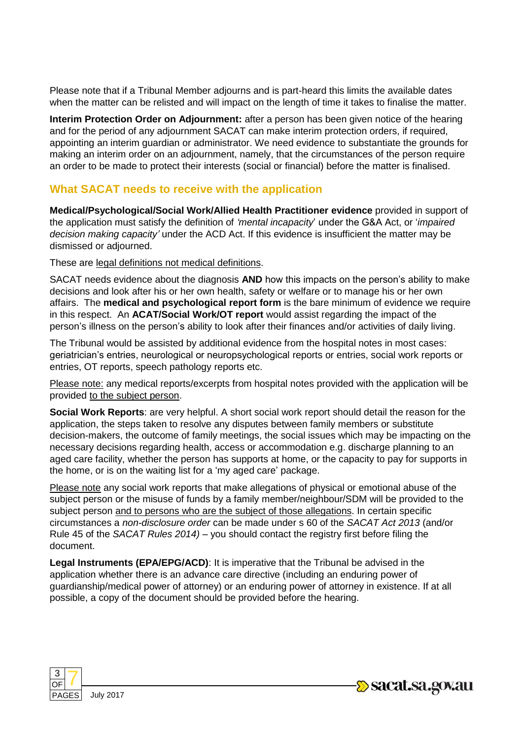Please note that if a Tribunal Member adjourns and is part-heard this limits the available dates when the matter can be relisted and will impact on the length of time it takes to finalise the matter.

**Interim Protection Order on Adjournment:** after a person has been given notice of the hearing and for the period of any adjournment SACAT can make interim protection orders, if required, appointing an interim guardian or administrator. We need evidence to substantiate the grounds for making an interim order on an adjournment, namely, that the circumstances of the person require an order to be made to protect their interests (social or financial) before the matter is finalised.

# **What SACAT needs to receive with the application**

**Medical/Psychological/Social Work/Allied Health Practitioner evidence** provided in support of the application must satisfy the definition of *'mental incapacity*' under the G&A Act, or '*impaired decision making capacity'* under the ACD Act. If this evidence is insufficient the matter may be dismissed or adjourned.

These are legal definitions not medical definitions.

SACAT needs evidence about the diagnosis **AND** how this impacts on the person's ability to make decisions and look after his or her own health, safety or welfare or to manage his or her own affairs. The **medical and psychological report form** is the bare minimum of evidence we require in this respect. An **ACAT/Social Work/OT report** would assist regarding the impact of the person's illness on the person's ability to look after their finances and/or activities of daily living.

The Tribunal would be assisted by additional evidence from the hospital notes in most cases: geriatrician's entries, neurological or neuropsychological reports or entries, social work reports or entries, OT reports, speech pathology reports etc.

Please note: any medical reports/excerpts from hospital notes provided with the application will be provided to the subject person.

**Social Work Reports**: are very helpful. A short social work report should detail the reason for the application, the steps taken to resolve any disputes between family members or substitute decision-makers, the outcome of family meetings, the social issues which may be impacting on the necessary decisions regarding health, access or accommodation e.g. discharge planning to an aged care facility, whether the person has supports at home, or the capacity to pay for supports in the home, or is on the waiting list for a 'my aged care' package.

Please note any social work reports that make allegations of physical or emotional abuse of the subject person or the misuse of funds by a family member/neighbour/SDM will be provided to the subject person and to persons who are the subject of those allegations. In certain specific circumstances a *non-disclosure order* can be made under s 60 of the *SACAT Act 2013* (and/or Rule 45 of the *SACAT Rules 2014) –* you should contact the registry first before filing the document.

**Legal Instruments (EPA/EPG/ACD)**: It is imperative that the Tribunal be advised in the application whether there is an advance care directive (including an enduring power of guardianship/medical power of attorney) or an enduring power of attorney in existence. If at all possible, a copy of the document should be provided before the hearing.



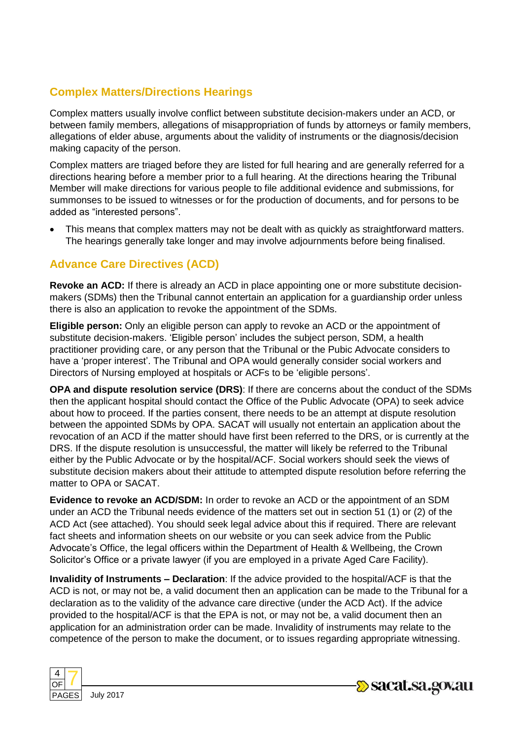# **Complex Matters/Directions Hearings**

Complex matters usually involve conflict between substitute decision-makers under an ACD, or between family members, allegations of misappropriation of funds by attorneys or family members, allegations of elder abuse, arguments about the validity of instruments or the diagnosis/decision making capacity of the person.

Complex matters are triaged before they are listed for full hearing and are generally referred for a directions hearing before a member prior to a full hearing. At the directions hearing the Tribunal Member will make directions for various people to file additional evidence and submissions, for summonses to be issued to witnesses or for the production of documents, and for persons to be added as "interested persons".

 This means that complex matters may not be dealt with as quickly as straightforward matters. The hearings generally take longer and may involve adjournments before being finalised.

# **Advance Care Directives (ACD)**

**Revoke an ACD:** If there is already an ACD in place appointing one or more substitute decisionmakers (SDMs) then the Tribunal cannot entertain an application for a guardianship order unless there is also an application to revoke the appointment of the SDMs.

**Eligible person:** Only an eligible person can apply to revoke an ACD or the appointment of substitute decision-makers. 'Eligible person' includes the subject person, SDM, a health practitioner providing care, or any person that the Tribunal or the Pubic Advocate considers to have a 'proper interest'. The Tribunal and OPA would generally consider social workers and Directors of Nursing employed at hospitals or ACFs to be 'eligible persons'.

**OPA and dispute resolution service (DRS)**: If there are concerns about the conduct of the SDMs then the applicant hospital should contact the Office of the Public Advocate (OPA) to seek advice about how to proceed. If the parties consent, there needs to be an attempt at dispute resolution between the appointed SDMs by OPA. SACAT will usually not entertain an application about the revocation of an ACD if the matter should have first been referred to the DRS, or is currently at the DRS. If the dispute resolution is unsuccessful, the matter will likely be referred to the Tribunal either by the Public Advocate or by the hospital/ACF. Social workers should seek the views of substitute decision makers about their attitude to attempted dispute resolution before referring the matter to OPA or SACAT.

**Evidence to revoke an ACD/SDM:** In order to revoke an ACD or the appointment of an SDM under an ACD the Tribunal needs evidence of the matters set out in section 51 (1) or (2) of the ACD Act (see attached). You should seek legal advice about this if required. There are relevant fact sheets and information sheets on our website or you can seek advice from the Public Advocate's Office, the legal officers within the Department of Health & Wellbeing, the Crown Solicitor's Office or a private lawyer (if you are employed in a private Aged Care Facility).

**Invalidity of Instruments – Declaration**: If the advice provided to the hospital/ACF is that the ACD is not, or may not be, a valid document then an application can be made to the Tribunal for a declaration as to the validity of the advance care directive (under the ACD Act). If the advice provided to the hospital/ACF is that the EPA is not, or may not be, a valid document then an application for an administration order can be made. Invalidity of instruments may relate to the competence of the person to make the document, or to issues regarding appropriate witnessing.



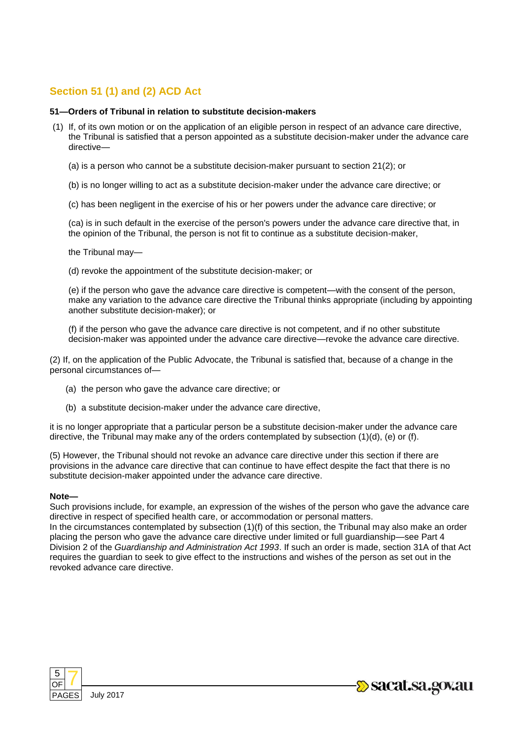## **Section 51 (1) and (2) ACD Act**

### **51—Orders of Tribunal in relation to substitute decision-makers**

- (1) If, of its own motion or on the application of an eligible person in respect of an advance care directive, the Tribunal is satisfied that a person appointed as a substitute decision-maker under the advance care directive—
	- (a) is a person who cannot be a substitute decision-maker pursuant to section 21(2); or
	- (b) is no longer willing to act as a substitute decision-maker under the advance care directive; or
	- (c) has been negligent in the exercise of his or her powers under the advance care directive; or

(ca) is in such default in the exercise of the person's powers under the advance care directive that, in the opinion of the Tribunal, the person is not fit to continue as a substitute decision-maker,

the Tribunal may—

(d) revoke the appointment of the substitute decision-maker; or

(e) if the person who gave the advance care directive is competent—with the consent of the person, make any variation to the advance care directive the Tribunal thinks appropriate (including by appointing another substitute decision-maker); or

(f) if the person who gave the advance care directive is not competent, and if no other substitute decision-maker was appointed under the advance care directive—revoke the advance care directive.

(2) If, on the application of the Public Advocate, the Tribunal is satisfied that, because of a change in the personal circumstances of—

- (a) the person who gave the advance care directive; or
- (b) a substitute decision-maker under the advance care directive,

it is no longer appropriate that a particular person be a substitute decision-maker under the advance care directive, the Tribunal may make any of the orders contemplated by subsection (1)(d), (e) or (f).

(5) However, the Tribunal should not revoke an advance care directive under this section if there are provisions in the advance care directive that can continue to have effect despite the fact that there is no substitute decision-maker appointed under the advance care directive.

#### **Note—**

Such provisions include, for example, an expression of the wishes of the person who gave the advance care directive in respect of specified health care, or accommodation or personal matters.

In the circumstances contemplated by subsection (1)(f) of this section, the Tribunal may also make an order placing the person who gave the advance care directive under limited or full guardianship—see Part 4 Division 2 of the *Guardianship and Administration Act 1993*. If such an order is made, section 31A of that Act requires the guardian to seek to give effect to the instructions and wishes of the person as set out in the revoked advance care directive.



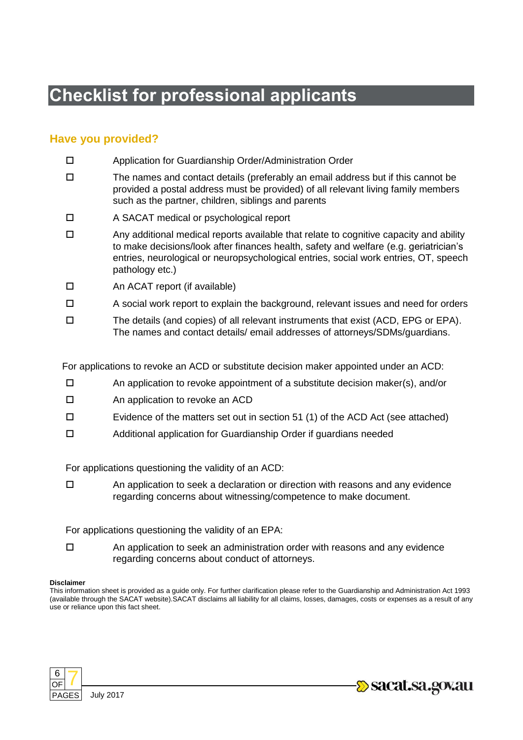# **Checklist for professional applicants**

## **Have you provided?**

- Application for Guardianship Order/Administration Order
- $\square$  The names and contact details (preferably an email address but if this cannot be provided a postal address must be provided) of all relevant living family members such as the partner, children, siblings and parents
- A SACAT medical or psychological report
- $\square$  Any additional medical reports available that relate to cognitive capacity and ability to make decisions/look after finances health, safety and welfare (e.g. geriatrician's entries, neurological or neuropsychological entries, social work entries, OT, speech pathology etc.)
- □ An ACAT report (if available)
- $\Box$  A social work report to explain the background, relevant issues and need for orders
- $\square$  The details (and copies) of all relevant instruments that exist (ACD, EPG or EPA). The names and contact details/ email addresses of attorneys/SDMs/guardians.

For applications to revoke an ACD or substitute decision maker appointed under an ACD:

- $\square$  An application to revoke appointment of a substitute decision maker(s), and/or
- □ An application to revoke an ACD
- $\square$  Evidence of the matters set out in section 51 (1) of the ACD Act (see attached)
- Additional application for Guardianship Order if guardians needed

For applications questioning the validity of an ACD:

 $\Box$  An application to seek a declaration or direction with reasons and any evidence regarding concerns about witnessing/competence to make document.

For applications questioning the validity of an EPA:

 $\Box$  An application to seek an administration order with reasons and any evidence regarding concerns about conduct of attorneys.

#### **Disclaimer**

This information sheet is provided as a guide only. For further clarification please refer to the Guardianship and Administration Act 1993 (available through the SACAT website).SACAT disclaims all liability for all claims, losses, damages, costs or expenses as a result of any use or reliance upon this fact sheet.